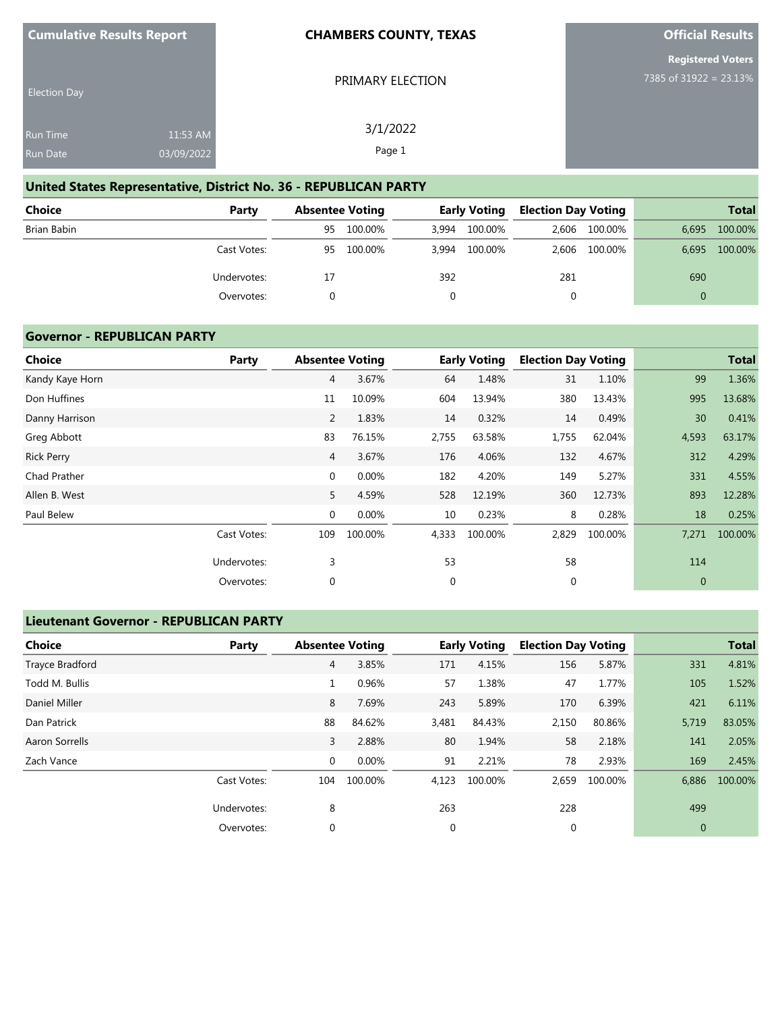| <b>Cumulative Results Report</b> |  |  |
|----------------------------------|--|--|
|----------------------------------|--|--|

PRIMARY ELECTION

3/1/2022 Page 1

**Official Results**

**Registered Voters** 7385 of 31922 = 23.13%

| <b>Election Day</b> |            |  |
|---------------------|------------|--|
| <b>Run Time</b>     | 11:53 AM   |  |
| Run Date            | 03/09/2022 |  |

# **United States Representative, District No. 36 - REPUBLICAN PARTY**

| Choice      | Party       | <b>Absentee Voting</b> |         |       | <b>Early Voting</b> | Election Day Voting |               |          | <b>Total</b> |
|-------------|-------------|------------------------|---------|-------|---------------------|---------------------|---------------|----------|--------------|
| Brian Babin |             | 95                     | 100.00% | 3.994 | 100.00%             |                     | 2,606 100.00% | 6.695    | 100.00%      |
|             | Cast Votes: | 95                     | 100.00% |       | 3,994 100.00%       |                     | 2,606 100.00% | 6,695    | 100.00%      |
|             | Undervotes: | 17                     |         | 392   |                     | 281                 |               | 690      |              |
|             | Overvotes:  |                        |         |       |                     | 0                   |               | $\Omega$ |              |

#### **Governor - REPUBLICAN PARTY**

| Choice            | Party       | <b>Absentee Voting</b> |         |       | <b>Early Voting</b> | <b>Election Day Voting</b> |         |              | <b>Total</b> |
|-------------------|-------------|------------------------|---------|-------|---------------------|----------------------------|---------|--------------|--------------|
| Kandy Kaye Horn   |             | $\overline{4}$         | 3.67%   | 64    | 1.48%               | 31                         | 1.10%   | 99           | 1.36%        |
| Don Huffines      |             | 11                     | 10.09%  | 604   | 13.94%              | 380                        | 13.43%  | 995          | 13.68%       |
| Danny Harrison    |             | $\overline{2}$         | 1.83%   | 14    | 0.32%               | 14                         | 0.49%   | 30           | 0.41%        |
| Greg Abbott       |             | 83                     | 76.15%  | 2,755 | 63.58%              | 1,755                      | 62.04%  | 4,593        | 63.17%       |
| <b>Rick Perry</b> |             | $\overline{4}$         | 3.67%   | 176   | 4.06%               | 132                        | 4.67%   | 312          | 4.29%        |
| Chad Prather      |             | $\mathbf{0}$           | 0.00%   | 182   | 4.20%               | 149                        | 5.27%   | 331          | 4.55%        |
| Allen B. West     |             | 5                      | 4.59%   | 528   | 12.19%              | 360                        | 12.73%  | 893          | 12.28%       |
| Paul Belew        |             | 0                      | 0.00%   | 10    | 0.23%               | 8                          | 0.28%   | 18           | 0.25%        |
|                   | Cast Votes: | 109                    | 100.00% | 4,333 | 100.00%             | 2,829                      | 100.00% | 7,271        | 100.00%      |
|                   | Undervotes: | 3                      |         | 53    |                     | 58                         |         | 114          |              |
|                   | Overvotes:  | $\mathbf 0$            |         | 0     |                     | 0                          |         | $\mathbf{0}$ |              |

## **Lieutenant Governor - REPUBLICAN PARTY**

| <b>Choice</b>   | Party       |             | <b>Absentee Voting</b> |             | <b>Early Voting</b> | <b>Election Day Voting</b> |         |       | <b>Total</b> |
|-----------------|-------------|-------------|------------------------|-------------|---------------------|----------------------------|---------|-------|--------------|
| Trayce Bradford |             | 4           | 3.85%                  | 171         | 4.15%               | 156                        | 5.87%   | 331   | 4.81%        |
| Todd M. Bullis  |             | 1           | 0.96%                  | 57          | 1.38%               | 47                         | 1.77%   | 105   | 1.52%        |
| Daniel Miller   |             | 8           | 7.69%                  | 243         | 5.89%               | 170                        | 6.39%   | 421   | 6.11%        |
| Dan Patrick     |             | 88          | 84.62%                 | 3,481       | 84.43%              | 2,150                      | 80.86%  | 5,719 | 83.05%       |
| Aaron Sorrells  |             | 3           | 2.88%                  | 80          | 1.94%               | 58                         | 2.18%   | 141   | 2.05%        |
| Zach Vance      |             | $\mathbf 0$ | 0.00%                  | 91          | 2.21%               | 78                         | 2.93%   | 169   | 2.45%        |
|                 | Cast Votes: | 104         | 100.00%                | 4,123       | 100.00%             | 2,659                      | 100.00% | 6,886 | 100.00%      |
|                 | Undervotes: | 8           |                        | 263         |                     | 228                        |         | 499   |              |
|                 | Overvotes:  | $\mathbf 0$ |                        | $\mathbf 0$ |                     | $\mathbf 0$                |         | 0     |              |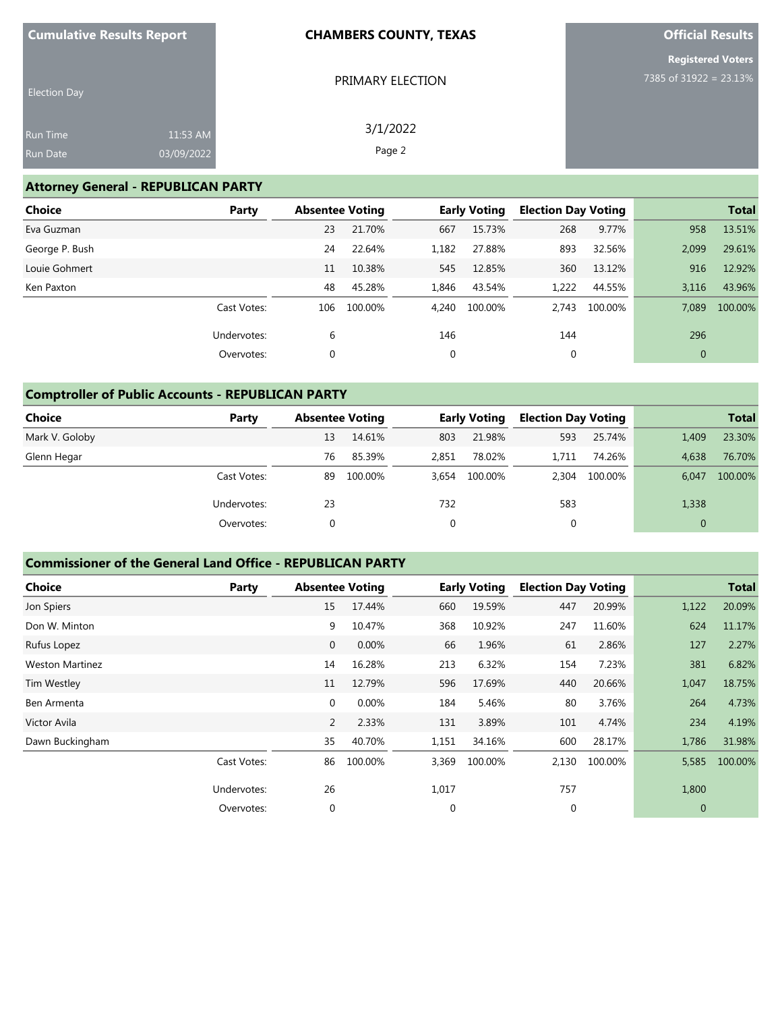|  | <b>Cumulative Results Report</b> |
|--|----------------------------------|
|--|----------------------------------|

PRIMARY ELECTION

3/1/2022 Page 2

**Official Results**

|  | <b>Registered Voters</b> |  |  |
|--|--------------------------|--|--|
|  | 7385 of 31922 = 23.13%   |  |  |

| <b>Election Day</b> |            |
|---------------------|------------|
| <b>Run Time</b>     | $11:53$ AM |
| <b>Run Date</b>     | 03/09/2022 |

## **Attorney General - REPUBLICAN PARTY**

| Choice<br>Party |     |    | <b>Absentee Voting</b> |       | <b>Early Voting</b> | <b>Election Day Voting</b> |         |              | <b>Total</b> |
|-----------------|-----|----|------------------------|-------|---------------------|----------------------------|---------|--------------|--------------|
| Eva Guzman      |     | 23 | 21.70%                 | 667   | 15.73%              | 268                        | 9.77%   | 958          | 13.51%       |
| George P. Bush  |     | 24 | 22.64%                 | 1,182 | 27.88%              | 893                        | 32.56%  | 2,099        | 29.61%       |
| Louie Gohmert   |     | 11 | 10.38%                 | 545   | 12.85%              | 360                        | 13.12%  | 916          | 12.92%       |
| Ken Paxton      |     | 48 | 45.28%                 | 1,846 | 43.54%              | 1,222                      | 44.55%  | 3,116        | 43.96%       |
| Cast Votes:     | 106 |    | 100.00%                | 4,240 | 100.00%             | 2.743                      | 100.00% | 7.089        | 100.00%      |
| Undervotes:     |     | 6  |                        | 146   |                     | 144                        |         | 296          |              |
| Overvotes:      |     | 0  |                        | 0     |                     | 0                          |         | $\mathbf{0}$ |              |

# **Comptroller of Public Accounts - REPUBLICAN PARTY**

| <b>Choice</b>  | Party       | <b>Absentee Voting</b> |         |             | <b>Early Voting</b> | <b>Election Day Voting</b> |         |          | <b>Total</b> |
|----------------|-------------|------------------------|---------|-------------|---------------------|----------------------------|---------|----------|--------------|
| Mark V. Goloby |             | 13                     | 14.61%  | 803         | 21.98%              | 593                        | 25.74%  | 1,409    | 23.30%       |
| Glenn Hegar    |             | 76                     | 85.39%  | 2,851       | 78.02%              | 1.711                      | 74.26%  | 4.638    | 76.70%       |
|                | Cast Votes: | 89                     | 100.00% | 3.654       | 100.00%             | 2.304                      | 100.00% | 6.047    | 100.00%      |
|                | Undervotes: | 23                     |         | 732         |                     | 583                        |         | 1,338    |              |
|                | Overvotes:  |                        |         | $\mathbf 0$ |                     | $\mathbf{0}$               |         | $\Omega$ |              |

## **Commissioner of the General Land Office - REPUBLICAN PARTY**

| <b>Choice</b>          | Party       | <b>Absentee Voting</b> |         |             | <b>Early Voting</b> | <b>Election Day Voting</b> |         |                | <b>Total</b> |
|------------------------|-------------|------------------------|---------|-------------|---------------------|----------------------------|---------|----------------|--------------|
| Jon Spiers             |             | 15                     | 17.44%  | 660         | 19.59%              | 447                        | 20.99%  | 1,122          | 20.09%       |
| Don W. Minton          |             | 9                      | 10.47%  | 368         | 10.92%              | 247                        | 11.60%  | 624            | 11.17%       |
| Rufus Lopez            |             | $\mathbf{0}$           | 0.00%   | 66          | 1.96%               | 61                         | 2.86%   | 127            | 2.27%        |
| <b>Weston Martinez</b> |             | 14                     | 16.28%  | 213         | 6.32%               | 154                        | 7.23%   | 381            | 6.82%        |
| Tim Westley            |             | 11                     | 12.79%  | 596         | 17.69%              | 440                        | 20.66%  | 1,047          | 18.75%       |
| Ben Armenta            |             | $\mathbf{0}$           | 0.00%   | 184         | 5.46%               | 80                         | 3.76%   | 264            | 4.73%        |
| Victor Avila           |             | 2                      | 2.33%   | 131         | 3.89%               | 101                        | 4.74%   | 234            | 4.19%        |
| Dawn Buckingham        |             | 35                     | 40.70%  | 1,151       | 34.16%              | 600                        | 28.17%  | 1,786          | 31.98%       |
|                        | Cast Votes: | 86                     | 100.00% | 3,369       | 100.00%             | 2,130                      | 100.00% | 5,585          | 100.00%      |
|                        | Undervotes: | 26                     |         | 1,017       |                     | 757                        |         | 1,800          |              |
|                        | Overvotes:  | $\mathbf 0$            |         | $\mathbf 0$ |                     | $\mathbf 0$                |         | $\overline{0}$ |              |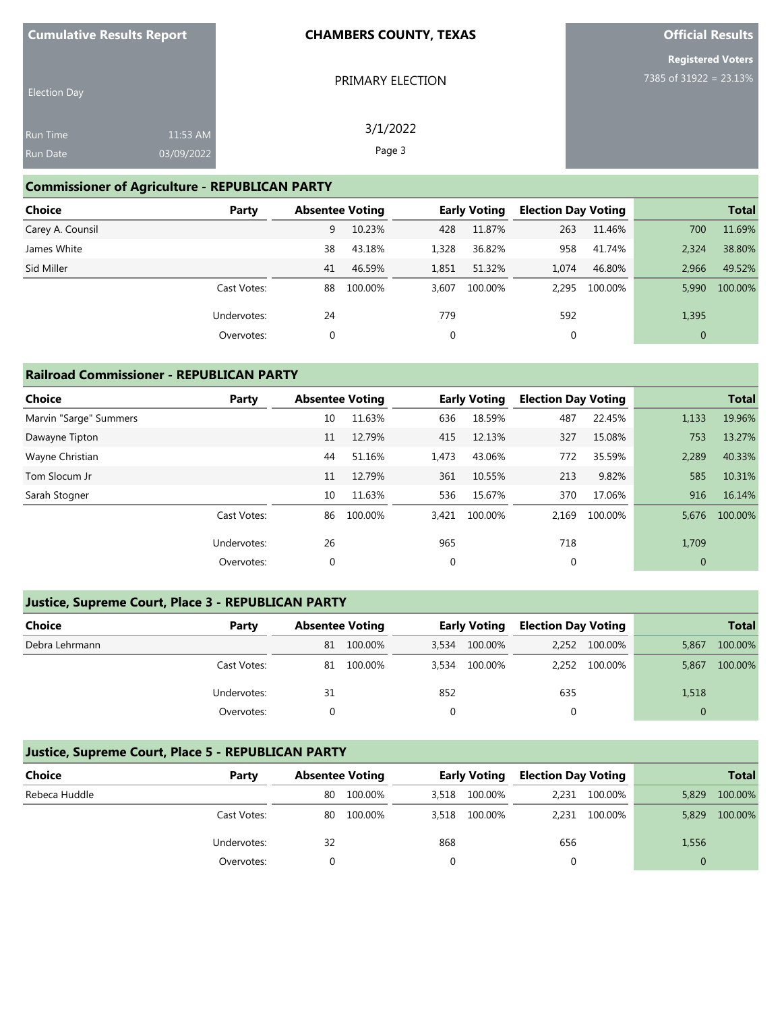|  | <b>Cumulative Results Report</b> |
|--|----------------------------------|
|--|----------------------------------|

PRIMARY ELECTION

3/1/2022 Page 3

**Official Results**

|  |  | <b>Registered Voters</b> |
|--|--|--------------------------|
|  |  | 7385 of 31922 = 23.13%   |

| <b>Election Day</b> |            |
|---------------------|------------|
| <b>Run Time</b>     | 11:53 AM   |
| <b>Run Date</b>     | 03/09/2022 |

## **Commissioner of Agriculture - REPUBLICAN PARTY**

| <b>Choice</b>    | Party       | <b>Absentee Voting</b> |         |       | <b>Early Voting</b> | <b>Election Day Voting</b> |               |              | <b>Total</b> |
|------------------|-------------|------------------------|---------|-------|---------------------|----------------------------|---------------|--------------|--------------|
| Carey A. Counsil |             | 9                      | 10.23%  | 428   | 11.87%              | 263                        | 11.46%        | 700          | 11.69%       |
| James White      |             | 38                     | 43.18%  | 1,328 | 36.82%              | 958                        | 41.74%        | 2.324        | 38.80%       |
| Sid Miller       |             | 41                     | 46.59%  | 1,851 | 51.32%              | 1.074                      | 46.80%        | 2.966        | 49.52%       |
|                  | Cast Votes: | 88                     | 100.00% | 3.607 | 100.00%             |                            | 2.295 100.00% | 5.990        | 100.00%      |
|                  | Undervotes: | 24                     |         | 779   |                     | 592                        |               | 1,395        |              |
|                  | Overvotes:  | 0                      |         | 0     |                     | 0                          |               | $\mathbf{0}$ |              |

### **Railroad Commissioner - REPUBLICAN PARTY**

| <b>Choice</b><br>Party | <b>Absentee Voting</b> |         |       | <b>Early Voting</b> | <b>Election Day Voting</b> |         |              | <b>Total</b> |
|------------------------|------------------------|---------|-------|---------------------|----------------------------|---------|--------------|--------------|
| Marvin "Sarge" Summers | 10                     | 11.63%  | 636   | 18.59%              | 487                        | 22.45%  | 1,133        | 19.96%       |
| Dawayne Tipton         | 11                     | 12.79%  | 415   | 12.13%              | 327                        | 15.08%  | 753          | 13.27%       |
| Wayne Christian        | 44                     | 51.16%  | 1,473 | 43.06%              | 772                        | 35.59%  | 2,289        | 40.33%       |
| Tom Slocum Jr          | 11                     | 12.79%  | 361   | 10.55%              | 213                        | 9.82%   | 585          | 10.31%       |
| Sarah Stogner          | 10                     | 11.63%  | 536   | 15.67%              | 370                        | 17.06%  | 916          | 16.14%       |
| Cast Votes:            | 86                     | 100.00% | 3,421 | 100.00%             | 2,169                      | 100.00% | 5.676        | 100.00%      |
| Undervotes:            | 26                     |         | 965   |                     | 718                        |         | 1,709        |              |
| Overvotes:             | 0                      |         | 0     |                     | 0                          |         | $\mathbf{0}$ |              |

## **Justice, Supreme Court, Place 3 - REPUBLICAN PARTY**

| <b>Choice</b>  | Party       | <b>Absentee Voting</b> |         | <b>Early Voting</b> |         | <b>Election Day Voting</b> |               |       | <b>Total</b> |
|----------------|-------------|------------------------|---------|---------------------|---------|----------------------------|---------------|-------|--------------|
| Debra Lehrmann |             | 81                     | 100.00% | 3.534               | 100.00% |                            | 2,252 100.00% | 5,867 | 100.00%      |
|                | Cast Votes: | 81                     | 100.00% | 3,534               | 100.00% | 2.252                      | 100.00%       | 5,867 | 100.00%      |
|                | Undervotes: | 31                     |         | 852                 |         | 635                        |               | 1,518 |              |
|                | Overvotes:  |                        |         |                     |         |                            |               |       |              |

## **Justice, Supreme Court, Place 5 - REPUBLICAN PARTY**

| Choice        | Party       | <b>Absentee Voting</b> |         | <b>Early Voting</b> |         | <b>Election Day Voting</b> |               |       | <b>Total</b> |
|---------------|-------------|------------------------|---------|---------------------|---------|----------------------------|---------------|-------|--------------|
| Rebeca Huddle |             | 80                     | 100.00% | 3,518               | 100.00% |                            | 2,231 100.00% | 5,829 | 100.00%      |
|               | Cast Votes: | 80                     | 100.00% | 3,518               | 100.00% |                            | 2,231 100.00% | 5,829 | 100.00%      |
|               | Undervotes: | 32                     |         | 868                 |         | 656                        |               | 1,556 |              |
|               | Overvotes:  |                        |         |                     |         |                            |               |       |              |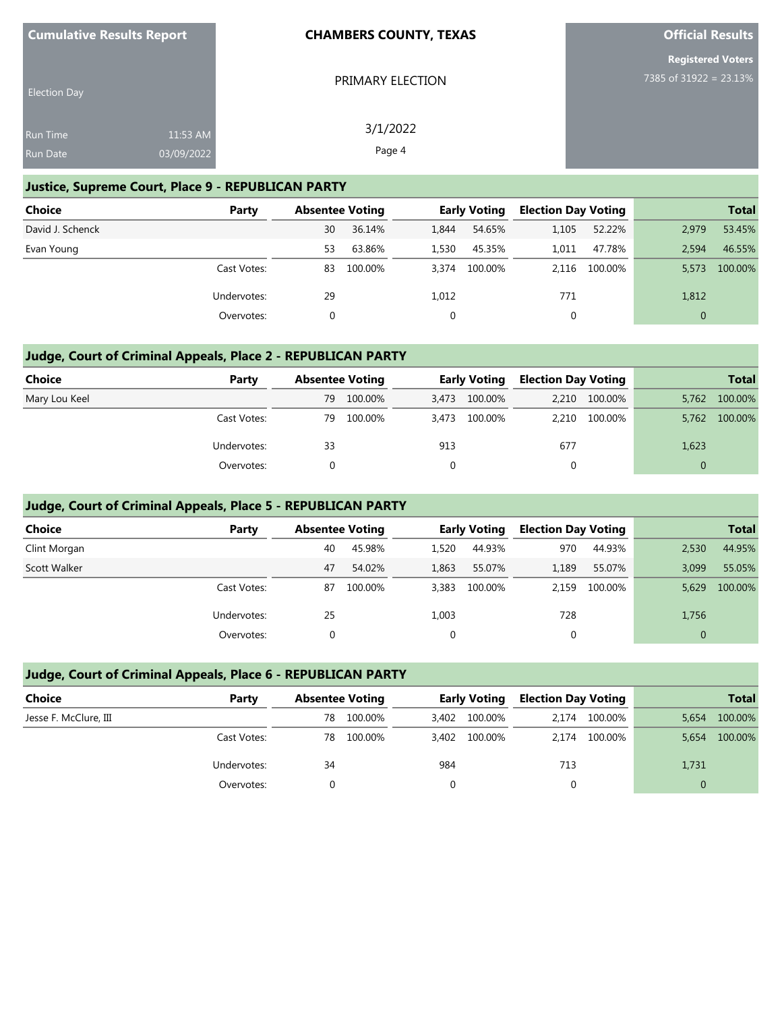| <b>Cumulative Results Report</b> |                        | <b>CHAMBERS COUNTY, TEXAS</b> | <b>Official Results</b>                            |  |  |
|----------------------------------|------------------------|-------------------------------|----------------------------------------------------|--|--|
| <b>Election Day</b>              |                        | PRIMARY ELECTION              | <b>Registered Voters</b><br>7385 of 31922 = 23.13% |  |  |
| Run Time<br><b>Run Date</b>      | 11:53 AM<br>03/09/2022 | 3/1/2022<br>Page 4            |                                                    |  |  |

# **Justice, Supreme Court, Place 9 - REPUBLICAN PARTY**

| Choice           | Party       | <b>Absentee Voting</b> |         |       | <b>Early Voting</b> | <b>Election Day Voting</b> |         |          | <b>Total</b> |
|------------------|-------------|------------------------|---------|-------|---------------------|----------------------------|---------|----------|--------------|
| David J. Schenck |             | 30                     | 36.14%  | 1.844 | 54.65%              | 1,105                      | 52.22%  | 2,979    | 53.45%       |
| Evan Young       |             | 53                     | 63.86%  | 1,530 | 45.35%              | 1.011                      | 47.78%  | 2.594    | 46.55%       |
|                  | Cast Votes: | 83                     | 100.00% | 3.374 | 100.00%             | 2.116                      | 100.00% | 5.573    | 100.00%      |
|                  | Undervotes: | 29                     |         | 1,012 |                     | 771                        |         | 1,812    |              |
|                  | Overvotes:  | 0                      |         |       |                     |                            |         | $\Omega$ |              |

# **Judge, Court of Criminal Appeals, Place 2 - REPUBLICAN PARTY**

| Choice        | Party       | <b>Absentee Voting</b> |         | <b>Early Voting</b> |         | <b>Election Day Voting</b> |               |       | <b>Total</b> |
|---------------|-------------|------------------------|---------|---------------------|---------|----------------------------|---------------|-------|--------------|
| Mary Lou Keel |             | 79                     | 100.00% | 3,473               | 100.00% |                            | 2,210 100.00% | 5,762 | 100.00%      |
|               | Cast Votes: | 79                     | 100.00% | 3,473               | 100.00% | 2,210                      | 100.00%       | 5,762 | 100.00%      |
|               | Undervotes: | 33                     |         | 913                 |         | 677                        |               | 1,623 |              |
|               | Overvotes:  |                        |         |                     |         |                            |               |       |              |

# **Judge, Court of Criminal Appeals, Place 5 - REPUBLICAN PARTY**

| Choice       | Party       | <b>Absentee Voting</b> |         | <b>Early Voting</b> |         | <b>Election Day Voting</b> |         |          | <b>Total</b> |
|--------------|-------------|------------------------|---------|---------------------|---------|----------------------------|---------|----------|--------------|
| Clint Morgan |             | 40                     | 45.98%  | 1.520               | 44.93%  | 970                        | 44.93%  | 2,530    | 44.95%       |
| Scott Walker |             | 47                     | 54.02%  | 1,863               | 55.07%  | 1,189                      | 55.07%  | 3.099    | 55.05%       |
|              | Cast Votes: | 87                     | 100.00% | 3,383               | 100.00% | 2.159                      | 100.00% | 5,629    | 100.00%      |
|              | Undervotes: | 25                     |         | 1,003               |         | 728                        |         | 1,756    |              |
|              | Overvotes:  |                        |         |                     |         |                            |         | $\Omega$ |              |

# **Judge, Court of Criminal Appeals, Place 6 - REPUBLICAN PARTY**

| Choice                | Party       | <b>Absentee Voting</b> |         | <b>Early Voting</b> |               | <b>Election Day Voting</b> |               |       | <b>Total</b> |
|-----------------------|-------------|------------------------|---------|---------------------|---------------|----------------------------|---------------|-------|--------------|
| Jesse F. McClure, III |             | 78                     | 100.00% |                     | 3,402 100.00% | 2,174                      | 100.00%       | 5,654 | 100.00%      |
|                       | Cast Votes: | 78                     | 100.00% |                     | 3.402 100.00% |                            | 2.174 100.00% | 5,654 | 100.00%      |
|                       | Undervotes: | 34                     |         | 984                 |               | 713                        |               | 1,731 |              |
|                       | Overvotes:  |                        |         |                     |               |                            |               |       |              |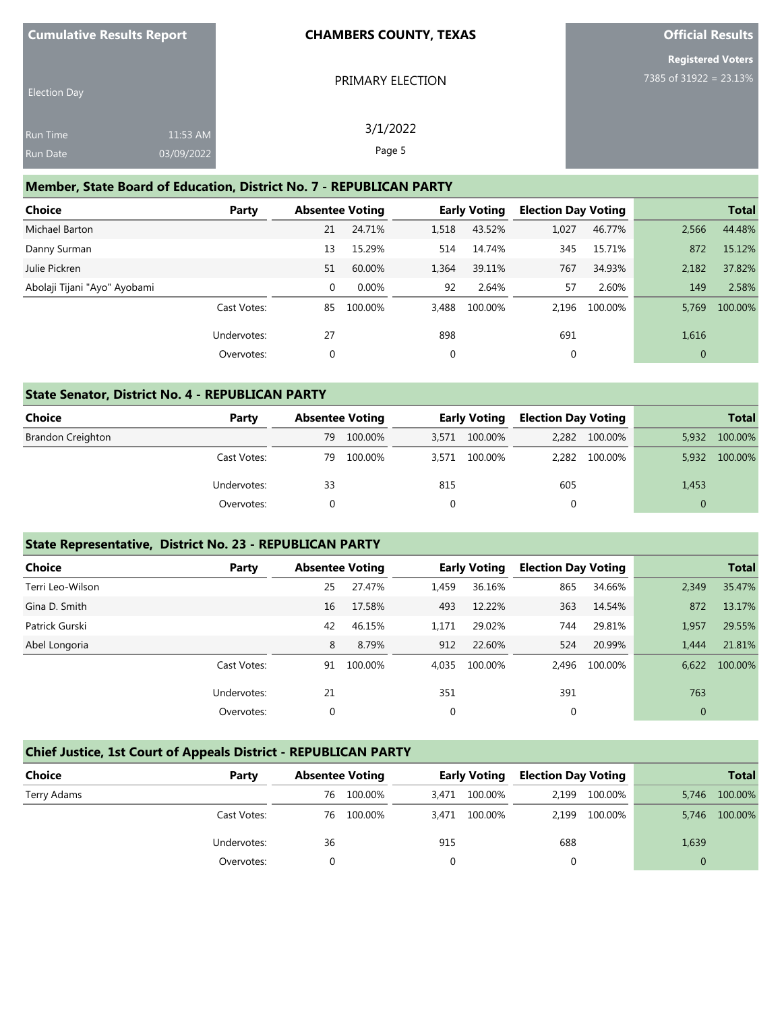| <b>Cumulative Results Report</b> |                        | <b>CHAMBERS COUNTY, TEXAS</b> | <b>Official Results</b>                            |  |  |
|----------------------------------|------------------------|-------------------------------|----------------------------------------------------|--|--|
| <b>Election Day</b>              |                        | PRIMARY ELECTION              | <b>Registered Voters</b><br>7385 of 31922 = 23.13% |  |  |
| Run Time<br>Run Date             | 11:53 AM<br>03/09/2022 | 3/1/2022<br>Page 5            |                                                    |  |  |

#### **Member, State Board of Education, District No. 7 - REPUBLICAN PARTY**

| <b>Choice</b>                | Party       |    | <b>Absentee Voting</b> |              | <b>Early Voting</b> | <b>Election Day Voting</b> |         |                | <b>Total</b> |
|------------------------------|-------------|----|------------------------|--------------|---------------------|----------------------------|---------|----------------|--------------|
| Michael Barton               |             | 21 | 24.71%                 | 1,518        | 43.52%              | 1.027                      | 46.77%  | 2,566          | 44.48%       |
| Danny Surman                 |             | 13 | 15.29%                 | 514          | 14.74%              | 345                        | 15.71%  | 872            | 15.12%       |
| Julie Pickren                |             | 51 | 60.00%                 | 1,364        | 39.11%              | 767                        | 34.93%  | 2,182          | 37.82%       |
| Abolaji Tijani "Ayo" Ayobami |             | 0  | $0.00\%$               | 92           | 2.64%               | 57                         | 2.60%   | 149            | 2.58%        |
|                              | Cast Votes: | 85 | 100.00%                | 3,488        | 100.00%             | 2.196                      | 100.00% | 5.769          | 100.00%      |
|                              | Undervotes: | 27 |                        | 898          |                     | 691                        |         | 1,616          |              |
|                              | Overvotes:  | 0  |                        | $\mathbf{0}$ |                     | $\mathbf{0}$               |         | $\overline{0}$ |              |

### **State Senator, District No. 4 - REPUBLICAN PARTY**

| Choice            | Party       |    | <b>Absentee Voting</b> |       | <b>Early Voting</b> | <b>Election Day Voting</b> |               |       | <b>Total</b> |
|-------------------|-------------|----|------------------------|-------|---------------------|----------------------------|---------------|-------|--------------|
| Brandon Creighton |             | 79 | 100.00%                | 3.571 | 100.00%             |                            | 2,282 100.00% | 5,932 | 100.00%      |
|                   | Cast Votes: | 79 | 100.00%                | 3.571 | 100.00%             | 2,282                      | 100.00%       | 5,932 | 100.00%      |
|                   | Undervotes: | 33 |                        | 815   |                     | 605                        |               | 1,453 |              |
|                   | Overvotes:  |    |                        |       |                     |                            |               |       |              |

### **State Representative, District No. 23 - REPUBLICAN PARTY**

| <b>Choice</b>    | Party       |             | <b>Absentee Voting</b> |             | <b>Early Voting</b> | <b>Election Day Voting</b> |         |              | <b>Total</b> |
|------------------|-------------|-------------|------------------------|-------------|---------------------|----------------------------|---------|--------------|--------------|
| Terri Leo-Wilson |             | 25          | 27.47%                 | 1,459       | 36.16%              | 865                        | 34.66%  | 2,349        | 35.47%       |
| Gina D. Smith    |             | 16          | 17.58%                 | 493         | 12.22%              | 363                        | 14.54%  | 872          | 13.17%       |
| Patrick Gurski   |             | 42          | 46.15%                 | 1,171       | 29.02%              | 744                        | 29.81%  | 1,957        | 29.55%       |
| Abel Longoria    |             | 8           | 8.79%                  | 912         | 22.60%              | 524                        | 20.99%  | 1.444        | 21.81%       |
|                  | Cast Votes: | 91          | 100.00%                | 4,035       | 100.00%             | 2.496                      | 100.00% | 6,622        | 100.00%      |
|                  | Undervotes: | 21          |                        | 351         |                     | 391                        |         | 763          |              |
|                  | Overvotes:  | $\mathbf 0$ |                        | $\mathbf 0$ |                     | $\mathbf 0$                |         | $\mathbf{0}$ |              |
|                  |             |             |                        |             |                     |                            |         |              |              |

# **Chief Justice, 1st Court of Appeals District - REPUBLICAN PARTY**

| <b>Choice</b> | Party       | <b>Absentee Voting</b> |            |       | <b>Early Voting</b> | <b>Election Day Voting</b> |         |       | <b>Total</b> |
|---------------|-------------|------------------------|------------|-------|---------------------|----------------------------|---------|-------|--------------|
| Terry Adams   |             | 76                     | 100.00%    | 3.471 | 100.00%             | 2.199                      | 100.00% | 5.746 | 100.00%      |
|               | Cast Votes: |                        | 76 100.00% |       | 3,471 100.00%       | 2,199                      | 100.00% | 5,746 | 100.00%      |
|               | Undervotes: | 36                     |            | 915   |                     | 688                        |         | 1,639 |              |
|               | Overvotes:  |                        |            |       |                     |                            |         |       |              |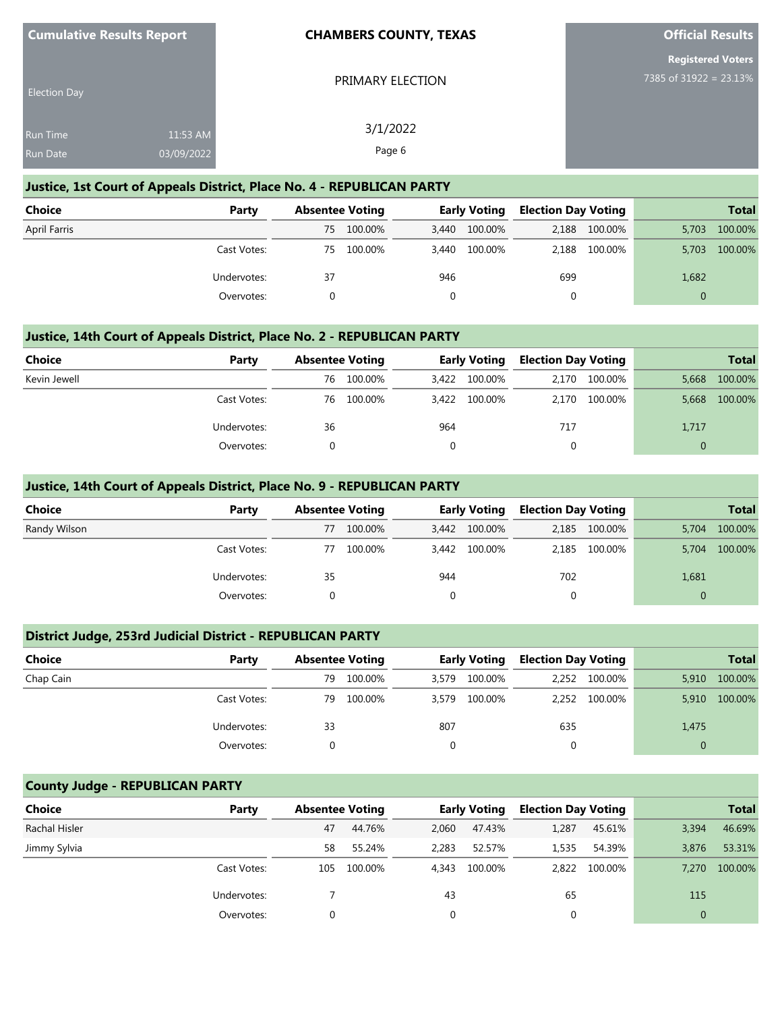| <b>Cumulative Results Report</b> |            | <b>CHAMBERS COUNTY, TEXAS</b> | <b>Official Results</b>  |
|----------------------------------|------------|-------------------------------|--------------------------|
|                                  |            |                               | <b>Registered Voters</b> |
| <b>Election Day</b>              |            | PRIMARY ELECTION              | 7385 of 31922 = 23.13%   |
| Run Time                         | 11:53 AM   | 3/1/2022                      |                          |
| Run Date                         | 03/09/2022 | Page 6                        |                          |
|                                  |            |                               |                          |

#### **Justice, 1st Court of Appeals District, Place No. 4 - REPUBLICAN PARTY**

| <b>Choice</b>       | Party       |     | <b>Absentee Voting</b> |       | <b>Early Voting</b> | <b>Election Day Voting</b> |         |          | <b>Total</b> |
|---------------------|-------------|-----|------------------------|-------|---------------------|----------------------------|---------|----------|--------------|
| <b>April Farris</b> |             | 75. | 100.00%                |       | 3,440 100.00%       | 2.188                      | 100.00% | 5.703    | 100.00%      |
|                     | Cast Votes: | 75  | 100.00%                | 3,440 | 100.00%             | 2.188                      | 100.00% | 5.703    | 100.00%      |
|                     | Undervotes: | 37  |                        | 946   |                     | 699                        |         | 1,682    |              |
|                     | Overvotes:  |     |                        |       |                     |                            |         | $\Omega$ |              |

## **Justice, 14th Court of Appeals District, Place No. 2 - REPUBLICAN PARTY**

| Choice       | Party       |    | <b>Absentee Voting</b> |       | <b>Early Voting</b> | <b>Election Day Voting</b> |               |       | <b>Total</b> |
|--------------|-------------|----|------------------------|-------|---------------------|----------------------------|---------------|-------|--------------|
| Kevin Jewell |             | 76 | 100.00%                | 3.422 | 100.00%             | 2,170                      | 100.00%       | 5,668 | 100.00%      |
|              | Cast Votes: | 76 | 100.00%                |       | 3,422 100.00%       |                            | 2,170 100.00% | 5,668 | 100.00%      |
|              | Undervotes: | 36 |                        | 964   |                     | 717                        |               | 1,717 |              |
|              | Overvotes:  |    |                        |       |                     |                            |               |       |              |

## **Justice, 14th Court of Appeals District, Place No. 9 - REPUBLICAN PARTY**

| <b>Choice</b> | Party       | <b>Absentee Voting</b> |         |       | <b>Early Voting</b> | <b>Election Day Voting</b> |               |          | <b>Total</b> |
|---------------|-------------|------------------------|---------|-------|---------------------|----------------------------|---------------|----------|--------------|
| Randy Wilson  |             | 77                     | 100.00% | 3,442 | 100.00%             |                            | 2,185 100.00% | 5,704    | 100.00%      |
|               | Cast Votes: | 77                     | 100.00% |       | 3,442 100.00%       | 2,185                      | 100.00%       | 5,704    | 100.00%      |
|               | Undervotes: | 35                     |         | 944   |                     | 702                        |               | 1,681    |              |
|               | Overvotes:  |                        |         |       |                     | $\Omega$                   |               | $\Omega$ |              |

## **District Judge, 253rd Judicial District - REPUBLICAN PARTY**

| <b>Choice</b> | Party       |    | <b>Absentee Voting</b> |       | <b>Early Voting</b> | <b>Election Day Voting</b> |               |       | <b>Total</b> |
|---------------|-------------|----|------------------------|-------|---------------------|----------------------------|---------------|-------|--------------|
| Chap Cain     |             | 79 | 100.00%                | 3,579 | 100.00%             |                            | 2,252 100.00% | 5,910 | 100.00%      |
|               | Cast Votes: | 79 | 100.00%                | 3,579 | 100.00%             |                            | 2,252 100.00% | 5,910 | 100.00%      |
|               | Undervotes: | 33 |                        | 807   |                     | 635                        |               | 1,475 |              |
|               | Overvotes:  |    |                        | 0     |                     | 0                          |               |       |              |

# **County Judge - REPUBLICAN PARTY**

| Choice        | Party       | <b>Absentee Voting</b> |         |       | <b>Early Voting</b> | <b>Election Day Voting</b> |               |          | <b>Total</b> |
|---------------|-------------|------------------------|---------|-------|---------------------|----------------------------|---------------|----------|--------------|
| Rachal Hisler |             | 47                     | 44.76%  | 2,060 | 47.43%              | 1,287                      | 45.61%        | 3,394    | 46.69%       |
| Jimmy Sylvia  |             | 58                     | 55.24%  | 2.283 | 52.57%              | 1,535                      | 54.39%        | 3.876    | 53.31%       |
|               | Cast Votes: | 105                    | 100.00% | 4.343 | 100.00%             |                            | 2,822 100.00% | 7.270    | 100.00%      |
|               | Undervotes: |                        |         | 43    |                     | 65                         |               | 115      |              |
|               | Overvotes:  | 0                      |         | 0     |                     | 0                          |               | $\Omega$ |              |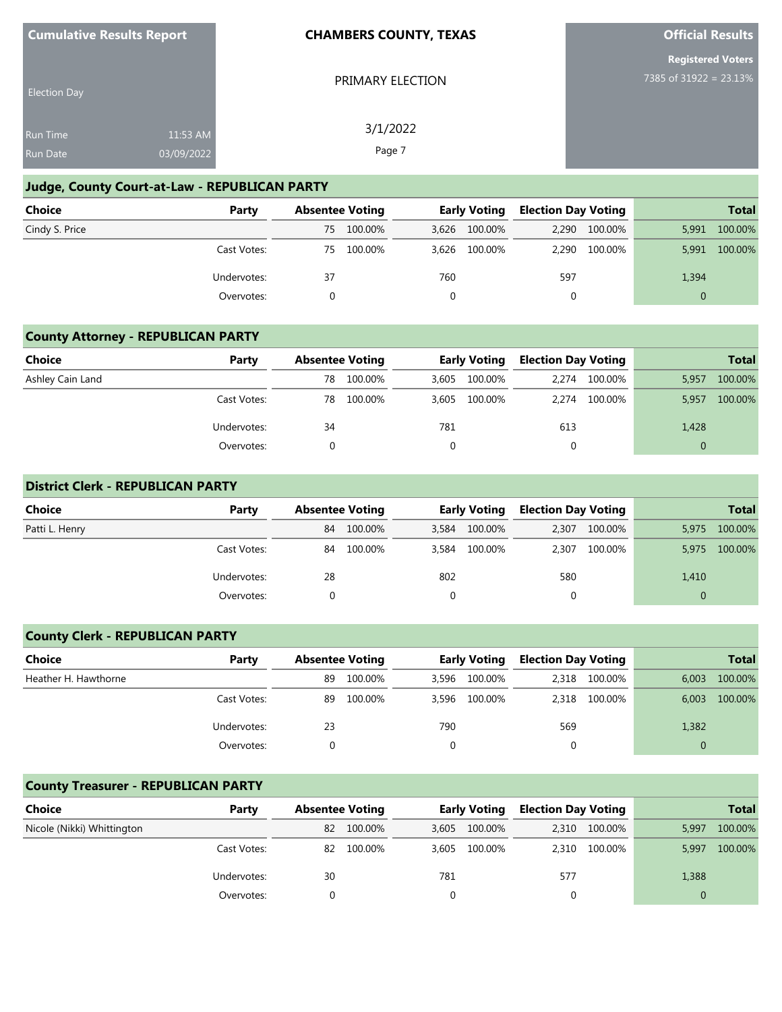| <b>Cumulative Results Report</b> |  |
|----------------------------------|--|
|----------------------------------|--|

PRIMARY ELECTION

3/1/2022 Page 7

**Official Results**

|  | <b>Registered Voters</b> |  |  |
|--|--------------------------|--|--|
|  | 7385 of 31922 = 23.13%   |  |  |

| <b>Election Day</b> |            |  |
|---------------------|------------|--|
| <b>Run Time</b>     | 11:53 AM   |  |
| Run Date            | 03/09/2022 |  |

# **Judge, County Court-at-Law - REPUBLICAN PARTY**

| Choice         | Party       | <b>Absentee Voting</b> |         | <b>Early Voting</b> |               | <b>Election Day Voting</b> |               |          | <b>Total</b> |
|----------------|-------------|------------------------|---------|---------------------|---------------|----------------------------|---------------|----------|--------------|
| Cindy S. Price |             | 75                     | 100.00% |                     | 3,626 100.00% |                            | 2,290 100.00% | 5,991    | 100.00%      |
|                | Cast Votes: | 75                     | 100.00% |                     | 3,626 100.00% | 2.290                      | 100.00%       | 5.991    | 100.00%      |
|                | Undervotes: | 37                     |         | 760                 |               | 597                        |               | 1,394    |              |
|                | Overvotes:  |                        |         |                     |               | 0                          |               | $\Omega$ |              |

## **County Attorney - REPUBLICAN PARTY**

| <b>Choice</b>    | Party       | <b>Absentee Voting</b> |         | <b>Early Voting</b> |         | <b>Election Day Voting</b> |         |       | <b>Total</b> |
|------------------|-------------|------------------------|---------|---------------------|---------|----------------------------|---------|-------|--------------|
| Ashley Cain Land |             | 78                     | 100.00% | 3,605               | 100.00% | 2,274                      | 100.00% | 5,957 | 100.00%      |
|                  | Cast Votes: | 78                     | 100.00% | 3.605               | 100.00% | 2.274                      | 100.00% | 5,957 | 100.00%      |
|                  | Undervotes: | 34                     |         | 781                 |         | 613                        |         | 1,428 |              |
|                  | Overvotes:  |                        |         |                     |         |                            |         |       |              |

### **District Clerk - REPUBLICAN PARTY**

| <b>Choice</b>  | Party       | <b>Absentee Voting</b> |         | <b>Early Voting</b> |         | <b>Election Day Voting</b> |         |          | <b>Total</b> |
|----------------|-------------|------------------------|---------|---------------------|---------|----------------------------|---------|----------|--------------|
| Patti L. Henry |             | 84                     | 100.00% | 3,584               | 100.00% | 2,307                      | 100.00% | 5,975    | 100.00%      |
|                | Cast Votes: | 84                     | 100.00% | 3,584               | 100.00% | 2,307                      | 100.00% | 5,975    | 100.00%      |
|                | Undervotes: | 28                     |         | 802                 |         | 580                        |         | 1,410    |              |
|                | Overvotes:  |                        |         |                     |         | 0                          |         | $\Omega$ |              |

## **County Clerk - REPUBLICAN PARTY**

| <b>Choice</b>        | Party       | <b>Absentee Voting</b> |         | <b>Early Voting</b> |               | <b>Election Day Voting</b> |               |       | <b>Total</b> |
|----------------------|-------------|------------------------|---------|---------------------|---------------|----------------------------|---------------|-------|--------------|
| Heather H. Hawthorne |             | 89                     | 100.00% | 3.596               | 100.00%       |                            | 2,318 100.00% | 6,003 | 100.00%      |
|                      | Cast Votes: | 89                     | 100.00% |                     | 3,596 100.00% |                            | 2,318 100.00% | 6,003 | 100.00%      |
|                      | Undervotes: | 23                     |         | 790                 |               | 569                        |               | 1,382 |              |
|                      | Overvotes:  |                        |         |                     |               |                            |               |       |              |

# **County Treasurer - REPUBLICAN PARTY**

| <b>Choice</b>              | Party       | <b>Absentee Voting</b> |         | <b>Early Voting</b> |         | <b>Election Day Voting</b> |               |          | <b>Total</b> |
|----------------------------|-------------|------------------------|---------|---------------------|---------|----------------------------|---------------|----------|--------------|
| Nicole (Nikki) Whittington |             | 82                     | 100.00% | 3.605               | 100.00% | 2.310                      | 100.00%       | 5,997    | 100.00%      |
|                            | Cast Votes: | 82                     | 100.00% | 3.605               | 100.00% |                            | 2,310 100.00% | 5,997    | 100.00%      |
|                            | Undervotes: | 30                     |         | 781                 |         | 577                        |               | 1,388    |              |
|                            | Overvotes:  |                        |         |                     |         |                            |               | $\Omega$ |              |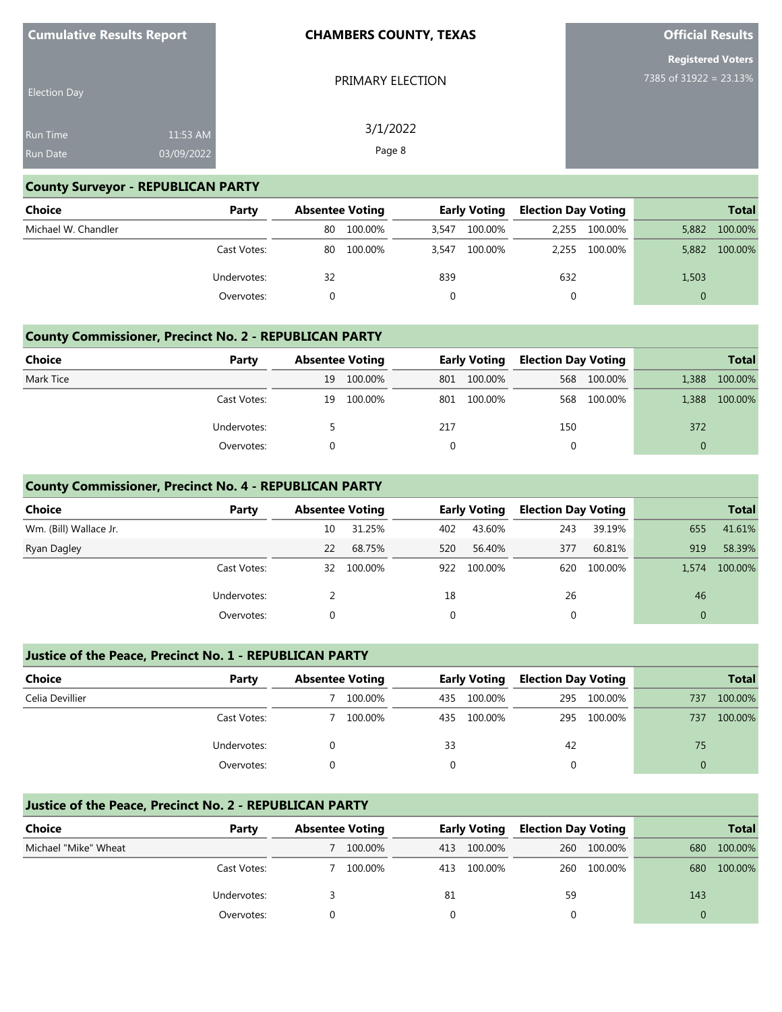| <b>Cumulative Results Report</b> |                        | <b>CHAMBERS COUNTY, TEXAS</b> | <b>Official Results</b>                            |  |  |
|----------------------------------|------------------------|-------------------------------|----------------------------------------------------|--|--|
| <b>Election Day</b>              |                        | PRIMARY ELECTION              | <b>Registered Voters</b><br>7385 of 31922 = 23.13% |  |  |
| Run Time<br>Run Date             | 11:53 AM<br>03/09/2022 | 3/1/2022<br>Page 8            |                                                    |  |  |

## **County Surveyor - REPUBLICAN PARTY**

| <b>Choice</b>       | Party       | <b>Absentee Voting</b> |         | <b>Early Voting</b> |         | <b>Election Day Voting</b> |               |          | <b>Total</b> |
|---------------------|-------------|------------------------|---------|---------------------|---------|----------------------------|---------------|----------|--------------|
| Michael W. Chandler |             | 80                     | 100.00% | 3,547               | 100.00% | 2.255                      | 100.00%       | 5,882    | 100.00%      |
|                     | Cast Votes: | 80                     | 100.00% | 3.547               | 100.00% |                            | 2,255 100.00% | 5,882    | 100.00%      |
|                     | Undervotes: | 32                     |         | 839                 |         | 632                        |               | 1,503    |              |
|                     | Overvotes:  |                        |         |                     |         |                            |               | $\Omega$ |              |

## **County Commissioner, Precinct No. 2 - REPUBLICAN PARTY**

| <b>Choice</b> | Party       | <b>Absentee Voting</b> |         | <b>Early Voting</b> |             | <b>Election Day Voting</b> |             |          | <b>Total</b> |
|---------------|-------------|------------------------|---------|---------------------|-------------|----------------------------|-------------|----------|--------------|
| Mark Tice     |             | 19                     | 100.00% |                     | 801 100.00% |                            | 568 100.00% | 1.388    | 100.00%      |
|               | Cast Votes: | 19                     | 100.00% |                     | 801 100.00% |                            | 568 100.00% | 1.388    | 100.00%      |
|               | Undervotes: |                        |         | 217                 |             | 150                        |             | 372      |              |
|               | Overvotes:  |                        |         | 0                   |             | 0                          |             | $\Omega$ |              |

## **County Commissioner, Precinct No. 4 - REPUBLICAN PARTY**

| <b>Choice</b>          | Party       | <b>Absentee Voting</b> |         |     | <b>Early Voting</b> | <b>Election Day Voting</b> |         |              | <b>Total</b> |
|------------------------|-------------|------------------------|---------|-----|---------------------|----------------------------|---------|--------------|--------------|
|                        |             |                        |         |     |                     |                            |         |              |              |
| Wm. (Bill) Wallace Jr. |             | 10                     | 31.25%  | 402 | 43.60%              | 243                        | 39.19%  | 655          | 41.61%       |
| Ryan Dagley            |             | 22                     | 68.75%  | 520 | 56.40%              | 377                        | 60.81%  | 919          | 58.39%       |
|                        | Cast Votes: | 32                     | 100.00% | 922 | 100.00%             | 620                        | 100.00% | 1.574        | 100.00%      |
|                        | Undervotes: |                        |         | 18  |                     | 26                         |         | 46           |              |
|                        | Overvotes:  | 0                      |         | 0   |                     | 0                          |         | $\mathbf{0}$ |              |

## **Justice of the Peace, Precinct No. 1 - REPUBLICAN PARTY**

| <b>Choice</b>   | Party       | <b>Absentee Voting</b> |         | <b>Early Voting</b> |         | <b>Election Day Voting</b> |         |          | <b>Total</b> |
|-----------------|-------------|------------------------|---------|---------------------|---------|----------------------------|---------|----------|--------------|
| Celia Devillier |             |                        | 100.00% | 435                 | 100.00% | 295                        | 100.00% | 737      | 100.00%      |
|                 | Cast Votes: |                        | 100.00% | 435                 | 100.00% | 295                        | 100.00% | 737      | 100.00%      |
|                 | Undervotes: |                        |         | 33                  |         | 42                         |         | 75       |              |
|                 | Overvotes:  |                        |         |                     |         | 0                          |         | $\Omega$ |              |

# **Justice of the Peace, Precinct No. 2 - REPUBLICAN PARTY**

| <b>Choice</b>        | Party       | <b>Absentee Voting</b> |         | <b>Early Voting</b> |         | <b>Election Day Voting</b> |             |     |         |  | <b>Total</b> |
|----------------------|-------------|------------------------|---------|---------------------|---------|----------------------------|-------------|-----|---------|--|--------------|
| Michael "Mike" Wheat |             |                        | 100.00% | 413                 | 100.00% |                            | 260 100.00% | 680 | 100.00% |  |              |
|                      | Cast Votes: |                        | 100.00% | 413                 | 100.00% |                            | 260 100.00% | 680 | 100.00% |  |              |
|                      | Undervotes: |                        |         | 81                  |         | 59                         |             | 143 |         |  |              |
|                      | Overvotes:  |                        |         |                     |         |                            |             |     |         |  |              |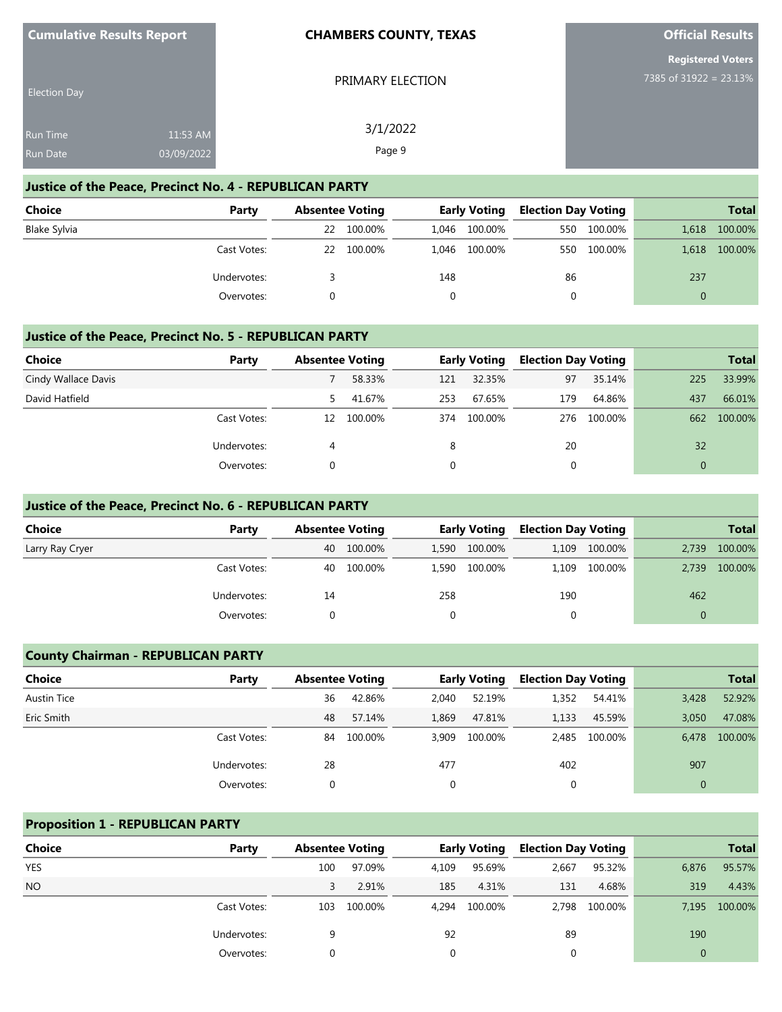| <b>Cumulative Results Report</b> |  |
|----------------------------------|--|
|----------------------------------|--|

PRIMARY ELECTION

**Official Results**

**Registered Voters** 7385 of 31922 = 23.13%

| <b>Election Day</b> |            |  |
|---------------------|------------|--|
| <b>Run Time</b>     | $11:53$ AM |  |
| <b>Run Date</b>     | 03/09/2022 |  |

3/1/2022 Page 9

#### **Justice of the Peace, Precinct No. 4 - REPUBLICAN PARTY**

| <b>Choice</b> | Party       | <b>Absentee Voting</b> |         | <b>Early Voting</b> |               | <b>Election Day Voting</b> |         |          | <b>Total</b> |
|---------------|-------------|------------------------|---------|---------------------|---------------|----------------------------|---------|----------|--------------|
| Blake Sylvia  |             | 22                     | 100.00% |                     | 1,046 100.00% | 550                        | 100.00% | 1,618    | 100.00%      |
|               | Cast Votes: | 22                     | 100.00% |                     | 1,046 100.00% | 550                        | 100.00% | 1,618    | 100.00%      |
|               | Undervotes: |                        |         | 148                 |               | 86                         |         | 237      |              |
|               | Overvotes:  |                        |         |                     |               |                            |         | $\Omega$ |              |

#### **Justice of the Peace, Precinct No. 5 - REPUBLICAN PARTY**

| <b>Choice</b>       | Party       | <b>Absentee Voting</b> |         |          | <b>Early Voting</b> | <b>Election Day Voting</b> |         |     | <b>Total</b> |
|---------------------|-------------|------------------------|---------|----------|---------------------|----------------------------|---------|-----|--------------|
| Cindy Wallace Davis |             |                        | 58.33%  | 121      | 32.35%              | 97                         | 35.14%  | 225 | 33.99%       |
| David Hatfield      |             | 5.                     | 41.67%  | 253      | 67.65%              | 179                        | 64.86%  | 437 | 66.01%       |
|                     | Cast Votes: | 12                     | 100.00% | 374      | 100.00%             | 276                        | 100.00% | 662 | 100.00%      |
|                     | Undervotes: | 4                      |         | 8        |                     | 20                         |         | 32  |              |
|                     | Overvotes:  | 0                      |         | $\Omega$ |                     | 0                          |         |     |              |

### **Justice of the Peace, Precinct No. 6 - REPUBLICAN PARTY**

| Choice          | Party       | <b>Absentee Voting</b> |         | <b>Early Voting</b> |         | <b>Election Day Voting</b> |         |          | <b>Total</b> |
|-----------------|-------------|------------------------|---------|---------------------|---------|----------------------------|---------|----------|--------------|
| Larry Ray Cryer |             | 40                     | 100.00% | 1,590               | 100.00% | 1.109                      | 100.00% | 2.739    | 100.00%      |
|                 | Cast Votes: | 40                     | 100.00% | 1,590               | 100.00% | 1.109                      | 100.00% | 2.739    | 100.00%      |
|                 | Undervotes: | 14                     |         | 258                 |         | 190                        |         | 462      |              |
|                 | Overvotes:  |                        |         |                     |         |                            |         | $\Omega$ |              |

#### **County Chairman - REPUBLICAN PARTY**

| <b>Choice</b>      | Party       |    | <b>Absentee Voting</b> |          | <b>Early Voting</b> |       | <b>Election Day Voting</b> |              | <b>Total</b> |
|--------------------|-------------|----|------------------------|----------|---------------------|-------|----------------------------|--------------|--------------|
| <b>Austin Tice</b> |             | 36 | 42.86%                 | 2.040    | 52.19%              | 1,352 | 54.41%                     | 3,428        | 52.92%       |
| Eric Smith         |             | 48 | 57.14%                 | 1,869    | 47.81%              | 1,133 | 45.59%                     | 3.050        | 47.08%       |
|                    | Cast Votes: | 84 | 100.00%                | 3.909    | 100.00%             |       | 2,485 100.00%              | 6.478        | 100.00%      |
|                    | Undervotes: | 28 |                        | 477      |                     | 402   |                            | 907          |              |
|                    | Overvotes:  |    |                        | $\Omega$ |                     | 0     |                            | $\mathbf{0}$ |              |

#### **Proposition 1 - REPUBLICAN PARTY**

| <b>Choice</b> | Party       | <b>Absentee Voting</b> |         |       | <b>Early Voting</b> | <b>Election Day Voting</b> |         |              | <b>Total</b> |
|---------------|-------------|------------------------|---------|-------|---------------------|----------------------------|---------|--------------|--------------|
| <b>YES</b>    |             | 100                    | 97.09%  | 4,109 | 95.69%              | 2,667                      | 95.32%  | 6,876        | 95.57%       |
| <b>NO</b>     |             |                        | 2.91%   | 185   | 4.31%               | 131                        | 4.68%   | 319          | 4.43%        |
|               | Cast Votes: | 103                    | 100.00% | 4.294 | 100.00%             | 2,798                      | 100.00% | 7,195        | 100.00%      |
|               | Undervotes: | 9                      |         | 92    |                     | 89                         |         | 190          |              |
|               | Overvotes:  |                        |         | 0     |                     | 0                          |         | $\mathbf{0}$ |              |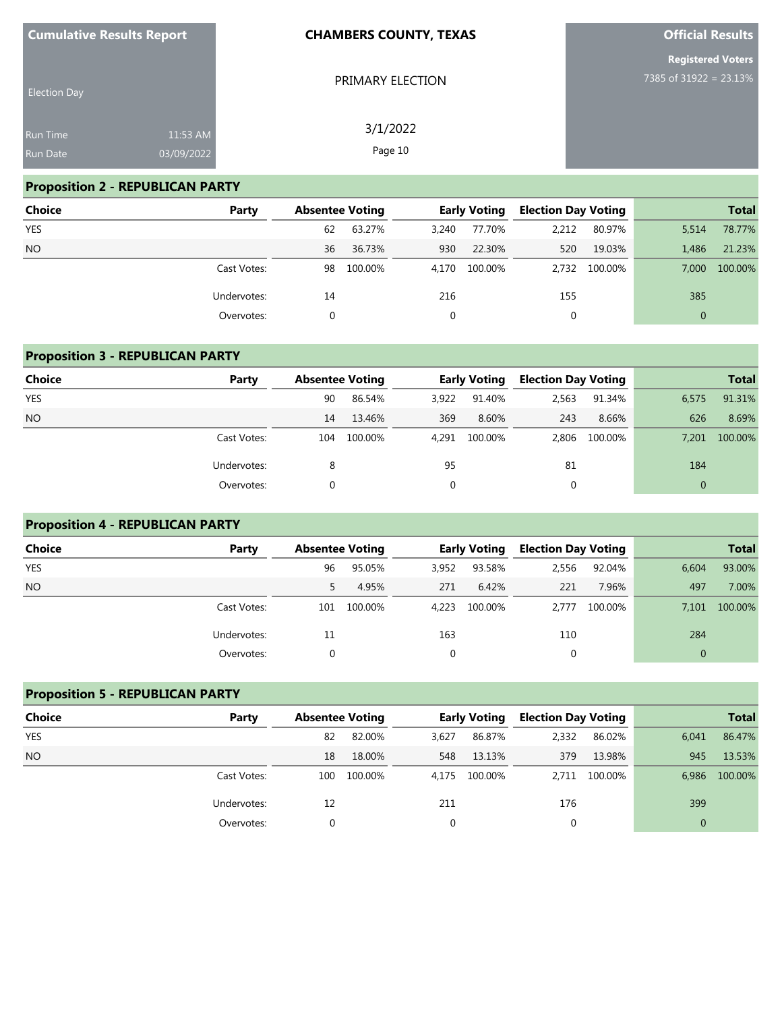| <b>Cumulative Results Report</b> |            | <b>CHAMBERS COUNTY, TEXAS</b> | <b>Official Results</b>  |
|----------------------------------|------------|-------------------------------|--------------------------|
|                                  |            |                               | <b>Registered Voters</b> |
| <b>Election Day</b>              |            | PRIMARY ELECTION              | 7385 of 31922 = 23.13%   |
| <b>Run Time</b>                  | 11:53 AM   | 3/1/2022                      |                          |
| Run Date                         | 03/09/2022 | Page 10                       |                          |

# **Proposition 2 - REPUBLICAN PARTY**

| <b>Choice</b> | Party       | <b>Absentee Voting</b> |         |       | <b>Early Voting</b> | <b>Election Day Voting</b> |         |                | <b>Total</b> |
|---------------|-------------|------------------------|---------|-------|---------------------|----------------------------|---------|----------------|--------------|
| <b>YES</b>    |             | 62                     | 63.27%  | 3,240 | 77.70%              | 2,212                      | 80.97%  | 5.514          | 78.77%       |
| <b>NO</b>     |             | 36                     | 36.73%  | 930   | 22.30%              | 520                        | 19.03%  | 1.486          | 21.23%       |
|               | Cast Votes: | 98                     | 100.00% |       | 4,170 100.00%       | 2,732                      | 100.00% | 7.000          | 100.00%      |
|               | Undervotes: | 14                     |         | 216   |                     | 155                        |         | 385            |              |
|               | Overvotes:  |                        |         |       |                     | 0                          |         | $\overline{0}$ |              |

# **Proposition 3 - REPUBLICAN PARTY**

| Choice     | Party       |     | <b>Absentee Voting</b> |       | <b>Early Voting</b> |       | <b>Election Day Voting</b> |       | <b>Total</b> |
|------------|-------------|-----|------------------------|-------|---------------------|-------|----------------------------|-------|--------------|
| <b>YES</b> |             | 90  | 86.54%                 | 3,922 | 91.40%              | 2,563 | 91.34%                     | 6,575 | 91.31%       |
| <b>NO</b>  |             | 14  | 13.46%                 | 369   | 8.60%               | 243   | 8.66%                      | 626   | 8.69%        |
|            | Cast Votes: | 104 | 100.00%                | 4.291 | 100.00%             | 2,806 | 100.00%                    | 7,201 | 100.00%      |
|            | Undervotes: | 8   |                        | 95    |                     | 81    |                            | 184   |              |
|            | Overvotes:  |     |                        | 0     |                     |       |                            |       |              |

# **Proposition 4 - REPUBLICAN PARTY**

| Choice     | Party       | <b>Absentee Voting</b> |         |       | <b>Early Voting</b> | <b>Election Day Voting</b> |         |          | <b>Total</b> |
|------------|-------------|------------------------|---------|-------|---------------------|----------------------------|---------|----------|--------------|
| <b>YES</b> |             | 96                     | 95.05%  | 3,952 | 93.58%              | 2,556                      | 92.04%  | 6,604    | 93.00%       |
| <b>NO</b>  |             |                        | 4.95%   | 271   | 6.42%               | 221                        | 7.96%   | 497      | 7.00%        |
|            | Cast Votes: | 101                    | 100.00% | 4.223 | 100.00%             | 2.777                      | 100.00% | 7.101    | 100.00%      |
|            | Undervotes: | 11                     |         | 163   |                     | 110                        |         | 284      |              |
|            | Overvotes:  |                        |         | 0     |                     | 0                          |         | $\Omega$ |              |

# **Proposition 5 - REPUBLICAN PARTY**

| <b>Choice</b> | Party       | <b>Absentee Voting</b> |         | <b>Early Voting</b> |         | <b>Election Day Voting</b> |         |       | <b>Total</b> |
|---------------|-------------|------------------------|---------|---------------------|---------|----------------------------|---------|-------|--------------|
| <b>YES</b>    |             | 82                     | 82.00%  | 3,627               | 86.87%  | 2,332                      | 86.02%  | 6,041 | 86.47%       |
| <b>NO</b>     |             | 18                     | 18.00%  | 548                 | 13.13%  | 379                        | 13.98%  | 945   | 13.53%       |
|               | Cast Votes: | 100                    | 100.00% | 4.175               | 100.00% | 2.711                      | 100.00% | 6,986 | 100.00%      |
|               | Undervotes: | 12                     |         | 211                 |         | 176                        |         | 399   |              |
|               | Overvotes:  |                        |         | 0                   |         |                            |         |       |              |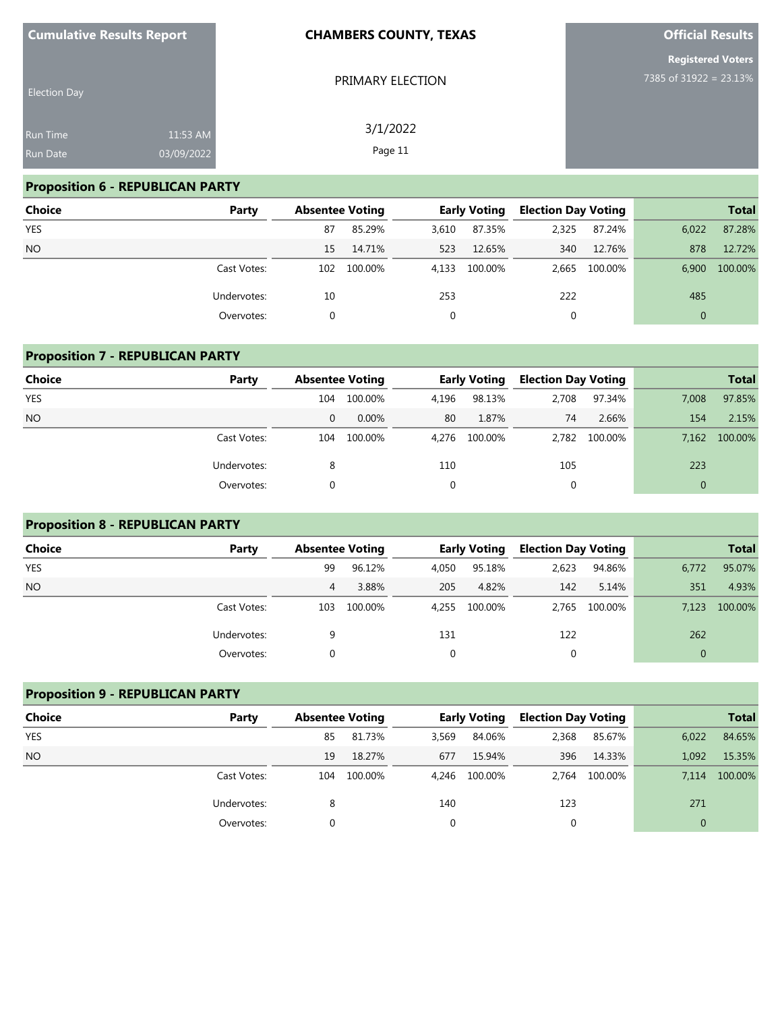| <b>Cumulative Results Report</b> |                        | <b>CHAMBERS COUNTY, TEXAS</b> | <b>Official Results</b>                            |
|----------------------------------|------------------------|-------------------------------|----------------------------------------------------|
| <b>Election Day</b>              |                        | PRIMARY ELECTION              | <b>Registered Voters</b><br>7385 of 31922 = 23.13% |
| Run Time<br>Run Date             | 11:53 AM<br>03/09/2022 | 3/1/2022<br>Page 11           |                                                    |

# **Proposition 6 - REPUBLICAN PARTY**

| <b>Choice</b> | Party       | <b>Absentee Voting</b> |         | <b>Early Voting</b> |         | <b>Election Day Voting</b> |         |              | <b>Total</b> |
|---------------|-------------|------------------------|---------|---------------------|---------|----------------------------|---------|--------------|--------------|
| <b>YES</b>    |             | 87                     | 85.29%  | 3,610               | 87.35%  | 2,325                      | 87.24%  | 6.022        | 87.28%       |
| <b>NO</b>     |             | 15                     | 14.71%  | 523                 | 12.65%  | 340                        | 12.76%  | 878          | 12.72%       |
|               | Cast Votes: | 102                    | 100.00% | 4.133               | 100.00% | 2,665                      | 100.00% | 6.900        | 100.00%      |
|               | Undervotes: | 10                     |         | 253                 |         | 222                        |         | 485          |              |
|               | Overvotes:  |                        |         | 0                   |         | 0                          |         | $\mathbf{0}$ |              |

| <b>Proposition 7 - REPUBLICAN PARTY</b> |             |                        |         |       |                     |             |                            |                |              |  |  |
|-----------------------------------------|-------------|------------------------|---------|-------|---------------------|-------------|----------------------------|----------------|--------------|--|--|
| <b>Choice</b><br>Party                  |             | <b>Absentee Voting</b> |         |       | <b>Early Voting</b> |             | <b>Election Day Voting</b> |                | <b>Total</b> |  |  |
| <b>YES</b>                              |             | 104                    | 100.00% | 4,196 | 98.13%              | 2,708       | 97.34%                     | 7,008          | 97.85%       |  |  |
| <b>NO</b>                               |             | 0                      | 0.00%   | 80    | 1.87%               | 74          | 2.66%                      | 154            | 2.15%        |  |  |
|                                         | Cast Votes: | 104                    | 100.00% | 4.276 | 100.00%             | 2.782       | 100.00%                    | 7.162          | 100.00%      |  |  |
|                                         | Undervotes: | 8                      |         | 110   |                     | 105         |                            | 223            |              |  |  |
|                                         | Overvotes:  | 0                      |         | 0     |                     | $\mathbf 0$ |                            | $\overline{0}$ |              |  |  |

# **Proposition 8 - REPUBLICAN PARTY**

| Choice     | Party       | <b>Absentee Voting</b> |         | <b>Early Voting</b> |         | <b>Election Day Voting</b> |               |              | <b>Total</b> |
|------------|-------------|------------------------|---------|---------------------|---------|----------------------------|---------------|--------------|--------------|
| <b>YES</b> |             | 99                     | 96.12%  | 4,050               | 95.18%  | 2,623                      | 94.86%        | 6,772        | 95.07%       |
| <b>NO</b>  |             | 4                      | 3.88%   | 205                 | 4.82%   | 142                        | 5.14%         | 351          | 4.93%        |
|            | Cast Votes: | 103                    | 100.00% | 4.255               | 100.00% |                            | 2,765 100.00% | 7.123        | 100.00%      |
|            | Undervotes: |                        |         | 131                 |         | 122                        |               | 262          |              |
|            | Overvotes:  |                        |         | $\Omega$            |         | 0                          |               | $\mathbf{0}$ |              |

| <b>Proposition 9 - REPUBLICAN PARTY</b> |             |                        |         |       |                     |       |                            |              |              |  |  |
|-----------------------------------------|-------------|------------------------|---------|-------|---------------------|-------|----------------------------|--------------|--------------|--|--|
| <b>Choice</b>                           | Party       | <b>Absentee Voting</b> |         |       | <b>Early Voting</b> |       | <b>Election Day Voting</b> |              | <b>Total</b> |  |  |
| <b>YES</b>                              |             | 85                     | 81.73%  | 3,569 | 84.06%              | 2,368 | 85.67%                     | 6,022        | 84.65%       |  |  |
| <b>NO</b>                               |             | 19                     | 18.27%  | 677   | 15.94%              | 396   | 14.33%                     | 1.092        | 15.35%       |  |  |
|                                         | Cast Votes: | 104                    | 100.00% |       | 4,246 100.00%       | 2.764 | 100.00%                    | 7.114        | 100.00%      |  |  |
|                                         | Undervotes: | 8                      |         | 140   |                     | 123   |                            | 271          |              |  |  |
|                                         | Overvotes:  | 0                      |         | 0     |                     | 0     |                            | $\mathbf{0}$ |              |  |  |